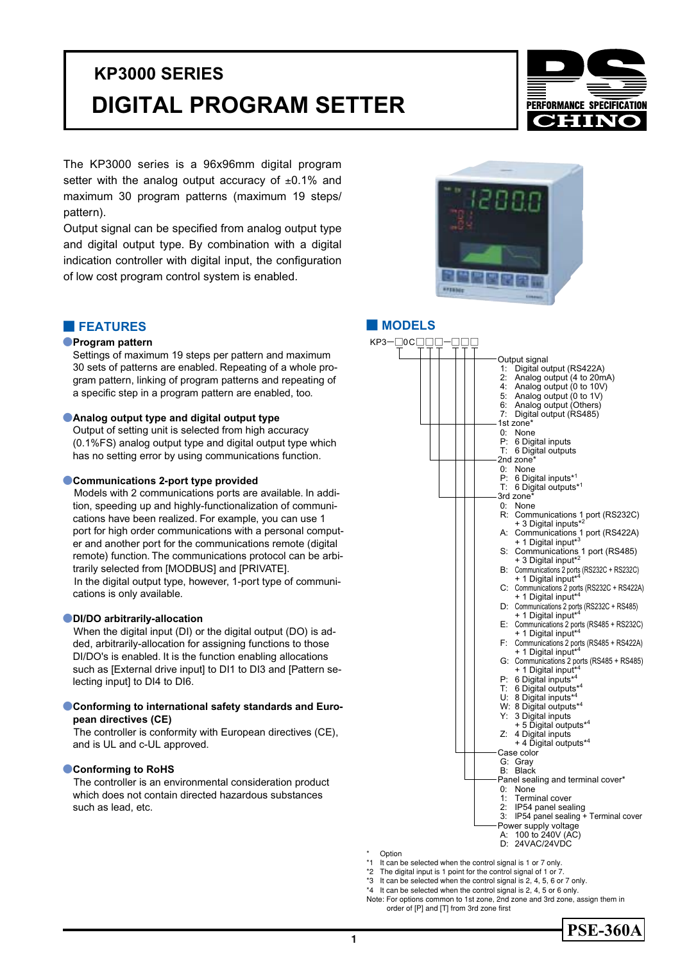# **DIGITAL PROGRAM SETTER KP3000 SERIES**



The KP3000 series is a 96x96mm digital program setter with the analog output accuracy of  $\pm 0.1\%$  and maximum 30 program patterns (maximum 19 steps/ pattern).

Output signal can be specified from analog output type and digital output type. By combination with a digital indication controller with digital input, the configuration of low cost program control system is enabled.



# **■ FEATURES ■ MODELS**

# ●**Program pattern**

Settings of maximum 19 steps per pattern and maximum 30 sets of patterns are enabled. Repeating of a whole program pattern, linking of program patterns and repeating of a specific step in a program pattern are enabled, too.

# **• Analog output type and digital output type**

Output of setting unit is selected from high accuracy (0.1%FS) analog output type and digital output type which has no setting error by using communications function.

# ●**Communications 2-port type provided**

 Models with 2 communications ports are available. In addition, speeding up and highly-functionalization of communications have been realized. For example, you can use 1 port for high order communications with a personal computer and another port for the communications remote (digital remote) function. The communications protocol can be arbitrarily selected from [MODBUS] and [PRIVATE]. In the digital output type, however, 1-port type of communications is only available.

# ●**DI/DO arbitrarily-allocation**

 When the digital input (DI) or the digital output (DO) is added, arbitrarily-allocation for assigning functions to those DI/DO's is enabled. It is the function enabling allocations such as [External drive input] to DI1 to DI3 and [Pattern selecting input] to DI4 to DI6.

# **Conforming to international safety standards and European directives (CE)**

 The controller is conformity with European directives (CE), and is UL and c-UL approved.

# ●**Conforming to RoHS**

 The controller is an environmental consideration product which does not contain directed hazardous substances such as lead, etc.



\* Option<br>\*1 It can b

- It can be selected when the control signal is 1 or 7 only.
- \*2 The digital input is 1 point for the control signal of 1 or 7.
- \*3 It can be selected when the control signal is 2, 4, 5, 6 or 7 only.
- \*4 It can be selected when the control signal is 2, 4, 5 or 6 only.
- Note: For options common to 1st zone, 2nd zone and 3rd zone, assign them in order of [P] and [T] from 3rd zone first

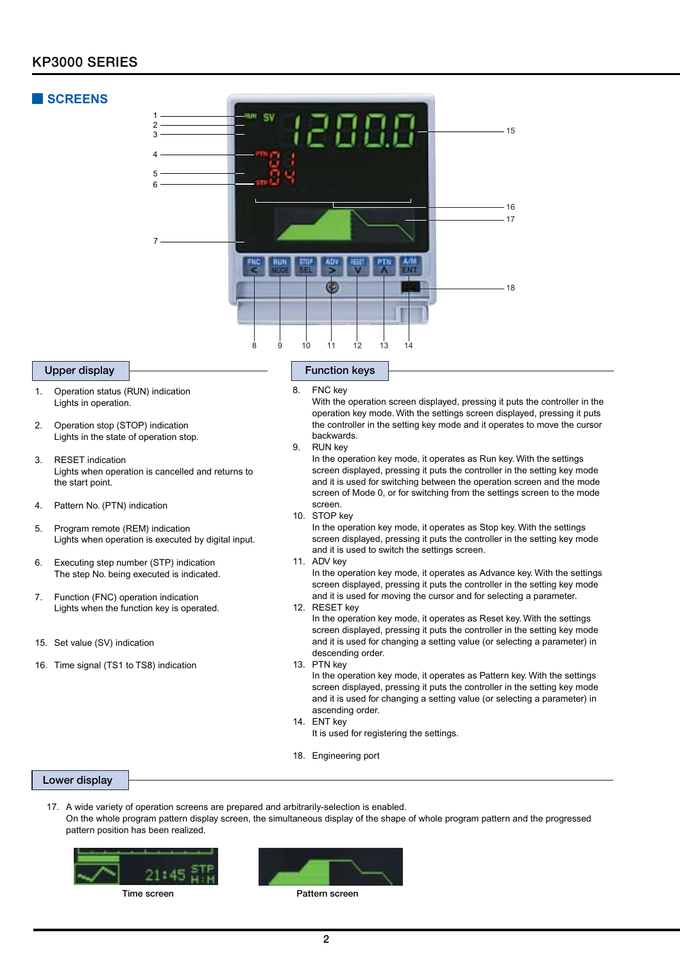# **KP3000 SERIES**

# **■ SCREENS**



- 1. Operation status (RUN) indication Lights in operation.
- 2. Operation stop (STOP) indication Lights in the state of operation stop.
- 3. RESET indication Lights when operation is cancelled and returns to the start point.
- 4. Pattern No. (PTN) indication
- 5. Program remote (REM) indication Lights when operation is executed by digital input.
- 6. Executing step number (STP) indication The step No. being executed is indicated.
- 7. Function (FNC) operation indication Lights when the function key is operated.
- 15. Set value (SV) indication
- 16. Time signal (TS1 to TS8) indication

8. FNC key With the operation screen displayed, pressing it puts the controller in the operation key mode. With the settings screen displayed, pressing it puts the controller in the setting key mode and it operates to move the cursor backwards.

9. RUN key

In the operation key mode, it operates as Run key. With the settings screen displayed, pressing it puts the controller in the setting key mode and it is used for switching between the operation screen and the mode screen of Mode 0, or for switching from the settings screen to the mode screen.

10. STOP key

In the operation key mode, it operates as Stop key. With the settings screen displayed, pressing it puts the controller in the setting key mode and it is used to switch the settings screen.

11. ADV key

In the operation key mode, it operates as Advance key. With the settings screen displayed, pressing it puts the controller in the setting key mode and it is used for moving the cursor and for selecting a parameter.

12. RESET key In the operation key mode, it operates as Reset key. With the settings screen displayed, pressing it puts the controller in the setting key mode and it is used for changing a setting value (or selecting a parameter) in descending order.

13. PTN key In the operation key mode, it operates as Pattern key. With the settings screen displayed, pressing it puts the controller in the setting key mode and it is used for changing a setting value (or selecting a parameter) in ascending order.

- 14. ENT key It is used for registering the settings.
- 18. Engineering port

# **Lower display**

17. A wide variety of operation screens are prepared and arbitrarily-selection is enabled. On the whole program pattern display screen, the simultaneous display of the shape of whole program pattern and the progressed pattern position has been realized.



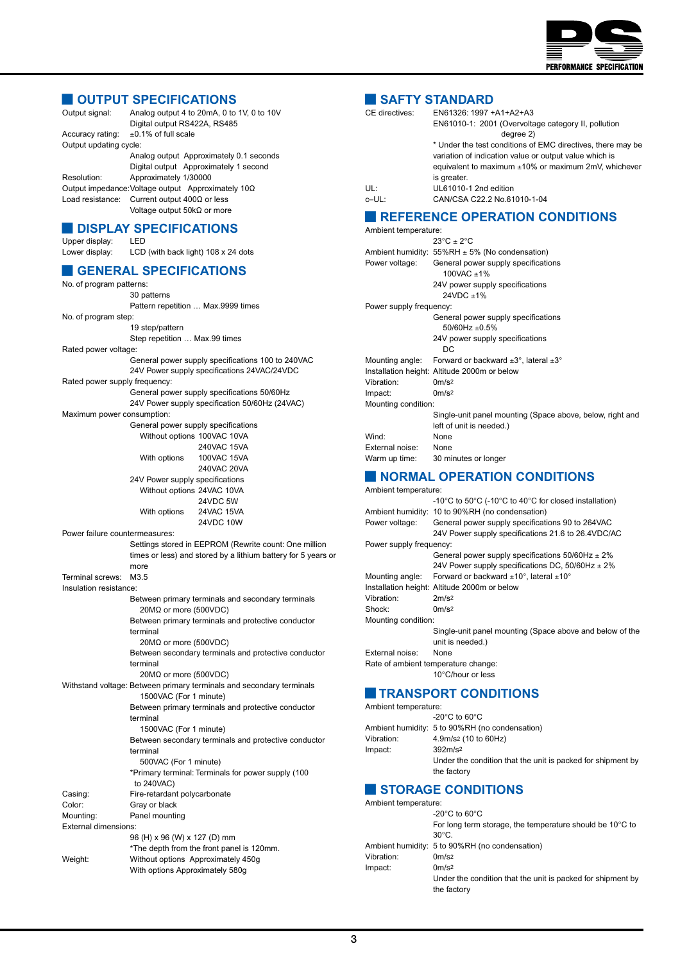

# **■ OUTPUT SPECIFICATIONS**

| Output signal:         | Analog output 4 to 20mA, 0 to 1V, 0 to 10V<br>Digital output RS422A, RS485 |  |  |  |  |  |  |
|------------------------|----------------------------------------------------------------------------|--|--|--|--|--|--|
| Accuracy rating:       | $\pm$ 0.1% of full scale                                                   |  |  |  |  |  |  |
| Output updating cycle: |                                                                            |  |  |  |  |  |  |
|                        | Analog output Approximately 0.1 seconds                                    |  |  |  |  |  |  |
|                        | Digital output Approximately 1 second                                      |  |  |  |  |  |  |
| Resolution:            | Approximately 1/30000                                                      |  |  |  |  |  |  |
|                        | Output impedance: Voltage output Approximately $10\Omega$                  |  |  |  |  |  |  |
|                        | Load resistance: Current output $400\Omega$ or less                        |  |  |  |  |  |  |
|                        | Voltage output $50k\Omega$ or more                                         |  |  |  |  |  |  |

# **■ DISPLAY SPECIFICATIONS**

Upper display: LED

# Lower display: LCD (with back light) 108 x 24 dots

# **■ GENERAL SPECIFICATIONS**

No. of program patterns: 30 patterns Pattern repetition … Max.9999 times

No. of program step:

19 step/pattern Step repetition … Max.99 times

Rated power voltage:

General power supply specifications 100 to 240VAC 24V Power supply specifications 24VAC/24VDC

## Rated power supply frequency:

General power supply specifications 50/60Hz 24V Power supply specification 50/60Hz (24VAC)

# Maximum power consumption:

| General power supply specifications |                   |
|-------------------------------------|-------------------|
| Without options 100VAC 10VA         |                   |
|                                     | 240VAC 15VA       |
| With options                        | 100VAC 15VA       |
|                                     | 240VAC 20VA       |
| 24V Power supply specifications     |                   |
| Without options 24VAC 10VA          |                   |
|                                     | 24VDC 5W          |
| With options                        | <b>24VAC 15VA</b> |
|                                     | 24VDC 10W         |

Power failure countermeasures:

### Settings stored in EEPROM (Rewrite count: One million times or less) and stored by a lithium battery for 5 years or more Terminal screws: M3.5 Insulation resistance: Between primary terminals and secondary terminals 20MΩ or more (500VDC)

Between primary terminals and protective conductor terminal 20MΩ or more (500VDC) Between secondary terminals and protective conductor terminal 20MΩ or more (500VDC) Withstand voltage: Between primary terminals and secondary terminals 1500VAC (For 1 minute) Between primary terminals and protective conductor terminal 1500VAC (For 1 minute) Between secondary terminals and protective conductor terminal 500VAC (For 1 minute) \*Primary terminal: Terminals for power supply (100 to 240VAC) Casing: Fire-retardant polycarbonate Color: Gray or black Mounting: Panel mounting External dimensions: 96 (H) x 96 (W) x 127 (D) mm \*The depth from the front panel is 120mm. Weight: Without options Approximately 450g With options Approximately 580g

# **■ SAFTY STANDARD**

| CE directives: | EN61326: 1997 +A1+A2+A3                                     |
|----------------|-------------------------------------------------------------|
|                | EN61010-1: 2001 (Overvoltage category II, pollution         |
|                | degree 2)                                                   |
|                | * Under the test conditions of EMC directives, there may be |
|                | variation of indication value or output value which is      |
|                | equivalent to maximum $\pm 10\%$ or maximum 2mV, whichever  |
|                | is greater.                                                 |
| UL:            | UL61010-1 2nd edition                                       |
| c-UL:          | CAN/CSA C22.2 No.61010-1-04                                 |
|                | <b>REFERENCE OPERATION CONDITIONS</b>                       |
|                |                                                             |

## Ambient temperature:  $23^{\circ}$ C ± 2°C Ambient humidity:  $55\%RH \pm 5\%$  (No condensation)<br>Power voltage: General power supply specification General power supply specifications 100VAC ±1% 24V power supply specifications  $24VDC \pm 1\%$ Power supply frequency: General power supply specifications 50/60Hz ±0.5% 24V power supply specifications DC Mounting angle: Forward or backward  $\pm 3^{\circ}$ , lateral  $\pm 3^{\circ}$ Installation height: Altitude 2000m or below Vibration: 0m/s2 Impact: 0m/s2 Mounting condition: Single-unit panel mounting (Space above, below, right and left of unit is needed.) Wind: None External noise: None Warm up time: 30 minutes or longer

# **■ NORMAL OPERATION CONDITIONS**

Ambient temperature:

|                                     | -10°C to 50°C (-10°C to 40°C for closed installation)                           |  |  |
|-------------------------------------|---------------------------------------------------------------------------------|--|--|
|                                     | Ambient humidity: 10 to 90%RH (no condensation)                                 |  |  |
| Power voltage:                      | General power supply specifications 90 to 264VAC                                |  |  |
|                                     | 24V Power supply specifications 21.6 to 26.4VDC/AC                              |  |  |
| Power supply frequency:             |                                                                                 |  |  |
|                                     | General power supply specifications $50/60$ Hz $\pm 2\%$                        |  |  |
|                                     | 24V Power supply specifications DC, $50/60$ Hz $\pm 2\%$                        |  |  |
|                                     | Mounting angle: Forward or backward $\pm 10^{\circ}$ , lateral $\pm 10^{\circ}$ |  |  |
|                                     | Installation height: Altitude 2000m or below                                    |  |  |
| Vibration:                          | 2m/s <sup>2</sup>                                                               |  |  |
| Shock:                              | 0 <sub>m</sub> /s <sub>2</sub>                                                  |  |  |
| Mounting condition:                 |                                                                                 |  |  |
|                                     | Single-unit panel mounting (Space above and below of the                        |  |  |
|                                     | unit is needed.)                                                                |  |  |
| External noise:                     | None                                                                            |  |  |
| Rate of ambient temperature change: |                                                                                 |  |  |
|                                     | 10°C/hour or less                                                               |  |  |
|                                     |                                                                                 |  |  |

# **■ TRANSPORT CONDITIONS**

| Ambient temperature: |                                                             |
|----------------------|-------------------------------------------------------------|
|                      | $-20^{\circ}$ C to 60 $^{\circ}$ C                          |
|                      | Ambient humidity: 5 to 90%RH (no condensation)              |
| Vibration:           | 4.9m/s <sup>2</sup> (10 to 60Hz)                            |
| Impact:              | 392m/s <sup>2</sup>                                         |
|                      | Under the condition that the unit is packed for shipment by |
|                      | the factory                                                 |

# **■ STORAGE CONDITIONS**

| Ambient temperature: |                                                                    |
|----------------------|--------------------------------------------------------------------|
|                      | $-20^{\circ}$ C to 60 $^{\circ}$ C                                 |
|                      | For long term storage, the temperature should be $10^{\circ}$ C to |
|                      | $30^{\circ}$ C.                                                    |
|                      | Ambient humidity: 5 to 90%RH (no condensation)                     |
| Vibration:           | 0 <sub>m</sub> /s <sup>2</sup>                                     |
| Impact:              | 0 <sub>m</sub> /s <sup>2</sup>                                     |
|                      | Under the condition that the unit is packed for shipment by        |
|                      | the factory                                                        |
|                      |                                                                    |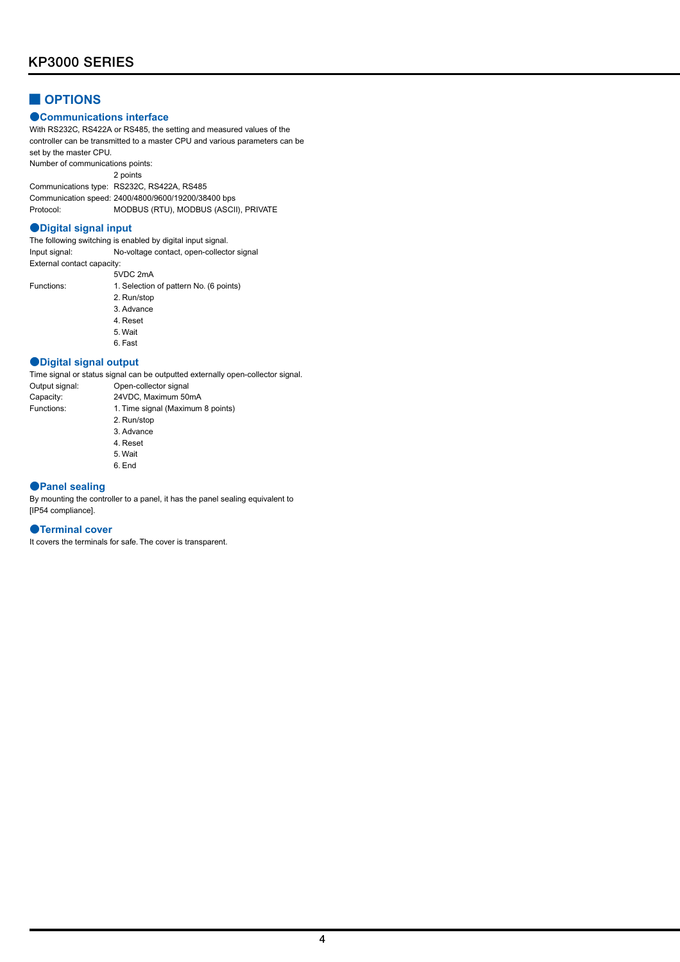# **■ OPTIONS**

# ●**Communications interface**

With RS232C, RS422A or RS485, the setting and measured values of the controller can be transmitted to a master CPU and various parameters can be set by the master CPU.

Number of communications points: 2 points Communications type: RS232C, RS422A, RS485

Communication speed: 2400/4800/9600/19200/38400 bps Protocol: MODBUS (RTU), MODBUS (ASCII), PRIVATE

# ●**Digital signal input**

The following switching is enabled by digital input signal. Input signal: No-voltage contact, open-collector signal External contact capacity:

Functions:

| 5VDC 2mA                               |
|----------------------------------------|
| 1. Selection of pattern No. (6 points) |
| 2. Run/stop                            |
| 3 Advance                              |
| 4 Reset                                |
| 5 Wait                                 |
| 6 Fast                                 |

# ●**Digital signal output**

Time signal or status signal can be outputted externally open-collector signal. Output signal: Open-collector signal Capacity: 24VDC, Maximum 50mA<br>Functions: 1. Time signal (Maximum 1. Time signal (Maximum 8 points) 2. Run/stop 3. Advance 4. Reset

- 5. Wait
- 6. End

# ●**Panel sealing**

By mounting the controller to a panel, it has the panel sealing equivalent to [IP54 compliance].

# ●**Terminal cover**

It covers the terminals for safe. The cover is transparent.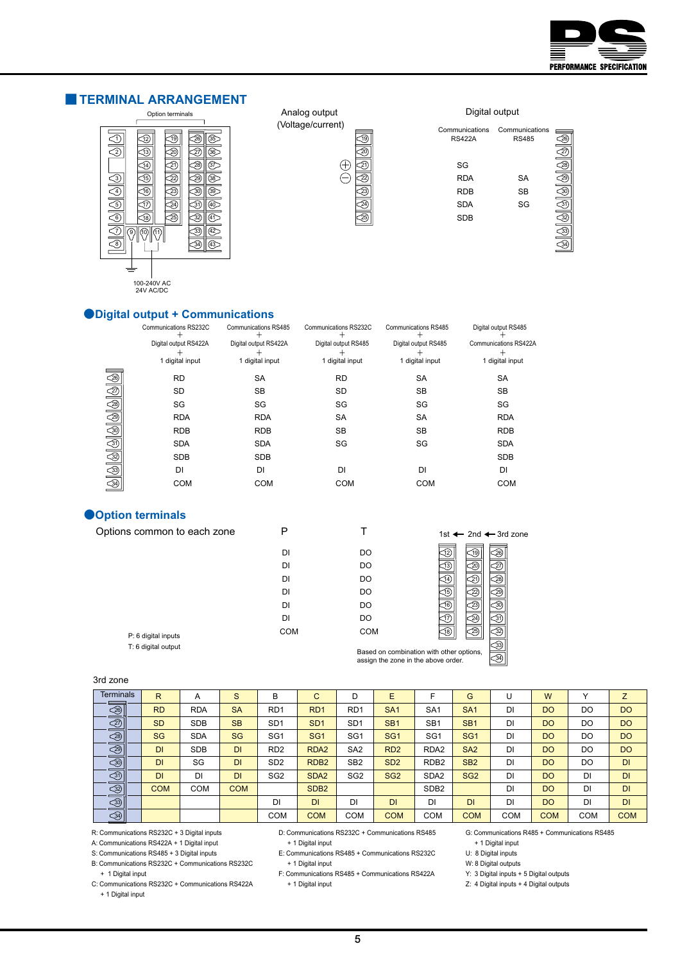

# **■ TERMINAL ARRANGEMENT**



Analog output (Voltage/current)



Digital output

| Communications<br><b>RS422A</b> | Communications<br><b>RS485</b> |  |
|---------------------------------|--------------------------------|--|
| SG                              |                                |  |
| <b>RDA</b>                      | <b>SA</b>                      |  |
| <b>RDB</b>                      | <b>SB</b>                      |  |
| <b>SDA</b>                      | SG                             |  |
| <b>SDB</b>                      |                                |  |
|                                 |                                |  |

# $\overline{\textcircled{3}}$

# ●**Digital output + Communications**

|                 | Communications RS232C | <b>Communications RS485</b> | Communications RS232C | <b>Communications RS485</b> | Digital output RS485  |
|-----------------|-----------------------|-----------------------------|-----------------------|-----------------------------|-----------------------|
|                 | Digital output RS422A | Digital output RS422A       | Digital output RS485  | Digital output RS485        | Communications RS422A |
|                 | 1 digital input       | 1 digital input             | 1 digital input       | 1 digital input             | 1 digital input       |
|                 | <b>RD</b>             | <b>SA</b>                   | <b>RD</b>             | <b>SA</b>                   | SA                    |
|                 | <b>SD</b>             | <b>SB</b>                   | <b>SD</b>             | SB                          | <b>SB</b>             |
|                 | SG                    | SG                          | SG                    | SG                          | SG                    |
|                 | <b>RDA</b>            | <b>RDA</b>                  | <b>SA</b>             | <b>SA</b>                   | <b>RDA</b>            |
|                 | <b>RDB</b>            | <b>RDB</b>                  | <b>SB</b>             | <b>SB</b>                   | <b>RDB</b>            |
|                 | <b>SDA</b>            | <b>SDA</b>                  | SG                    | SG                          | <b>SDA</b>            |
|                 | <b>SDB</b>            | <b>SDB</b>                  |                       |                             | <b>SDB</b>            |
|                 | DI                    | DI                          | DI                    | DI                          | DI                    |
| 4 4 4 4 4 4 4 4 | <b>COM</b>            | <b>COM</b>                  | <b>COM</b>            | <b>COM</b>                  | <b>COM</b>            |
|                 |                       |                             |                       |                             |                       |

# ●**Option terminals**

| Options common to each zone |            |            | 1st $\leftarrow$ 2nd $\leftarrow$ 3rd zone                                      |
|-----------------------------|------------|------------|---------------------------------------------------------------------------------|
|                             | DI         | DO         | .26                                                                             |
|                             | DI         | DO.        | 13                                                                              |
|                             | DI         | DO         |                                                                                 |
|                             | DI         | DO         |                                                                                 |
|                             | DI         | DO.        | 16                                                                              |
|                             | DI         | DO         | -24                                                                             |
| P: 6 digital inputs         | <b>COM</b> | <b>COM</b> |                                                                                 |
| T: 6 digital output         |            |            | Based on combination with other options,<br>assign the zone in the above order. |

# 3rd zone

| <b>Terminals</b>          | $\mathsf{R}$ | A          | S          | B                | C                | D                | E                           | F                | G               |            | W          |            | Z          |
|---------------------------|--------------|------------|------------|------------------|------------------|------------------|-----------------------------|------------------|-----------------|------------|------------|------------|------------|
| 90999                     | <b>RD</b>    | <b>RDA</b> | <b>SA</b>  | R <sub>D</sub> 1 | R <sub>D</sub> 1 | R <sub>D</sub> 1 | SA <sub>1</sub>             | SA <sub>1</sub>  | SA <sub>1</sub> | DI         | <b>DO</b>  | DO         | <b>DO</b>  |
|                           | <b>SD</b>    | <b>SDB</b> | <b>SB</b>  | SD <sub>1</sub>  | SD <sub>1</sub>  | SD <sub>1</sub>  | SB <sub>1</sub>             | SB <sub>1</sub>  | SB <sub>1</sub> | DI         | <b>DO</b>  | DO         | <b>DO</b>  |
|                           | <b>SG</b>    | <b>SDA</b> | <b>SG</b>  | SG <sub>1</sub>  | SG <sub>1</sub>  | SG <sub>1</sub>  | SG <sub>1</sub>             | SG <sub>1</sub>  | SG <sub>1</sub> | DI         | <b>DO</b>  | DO         | <b>DO</b>  |
|                           | DI           | <b>SDB</b> | <b>DI</b>  | RD <sub>2</sub>  | RDA <sub>2</sub> | SA <sub>2</sub>  | R <sub>D</sub> <sub>2</sub> | RDA <sub>2</sub> | SA <sub>2</sub> | DI         | <b>DO</b>  | DO         | <b>DO</b>  |
| $\overline{\circledcirc}$ | DI           | SG         | <b>DI</b>  | SD <sub>2</sub>  | RDB <sub>2</sub> | SB <sub>2</sub>  | SD <sub>2</sub>             | RDB <sub>2</sub> | SB <sub>2</sub> | DI         | <b>DO</b>  | DO         | <b>DI</b>  |
| sis<br>3                  | <b>DI</b>    | DI         | <b>DI</b>  | SG <sub>2</sub>  | SDA <sub>2</sub> | SG <sub>2</sub>  | SG <sub>2</sub>             | SDA <sub>2</sub> | SG <sub>2</sub> | DI         | <b>DO</b>  | DI         | <b>DI</b>  |
|                           | <b>COM</b>   | <b>COM</b> | <b>COM</b> |                  | SDB <sub>2</sub> |                  |                             | SDB <sub>2</sub> |                 | DI         | <b>DO</b>  | DI         | <b>DI</b>  |
| <u>a</u>                  |              |            |            | <b>DI</b>        | <b>DI</b>        | DI               | DI                          | DI               | <b>DI</b>       | DI         | <b>DO</b>  | DI         | <b>DI</b>  |
| $\bigcirc$                |              |            |            | <b>COM</b>       | <b>COM</b>       | <b>COM</b>       | <b>COM</b>                  | <b>COM</b>       | <b>COM</b>      | <b>COM</b> | <b>COM</b> | <b>COM</b> | <b>COM</b> |

R: Communications RS232C + 3 Digital inputs

A: Communications RS422A + 1 Digital input

S: Communications RS485 + 3 Digital inputs

B: Communications RS232C + Communications RS232C + 1 Digital input

C: Communications RS232C + Communications RS422A + 1 Digital input

D: Communications RS232C + Communications RS485

 + 1 Digital input E: Communications RS485 + Communications RS232C + 1 Digital input

F: Communications RS485 + Communications RS422A + 1 Digital input

G: Communications R485 + Communications RS485 + 1 Digital input

U: 8 Digital inputs

W: 8 Digital outputs

Y: 3 Digital inputs + 5 Digital outputs

Z: 4 Digital inputs + 4 Digital outputs

**5**